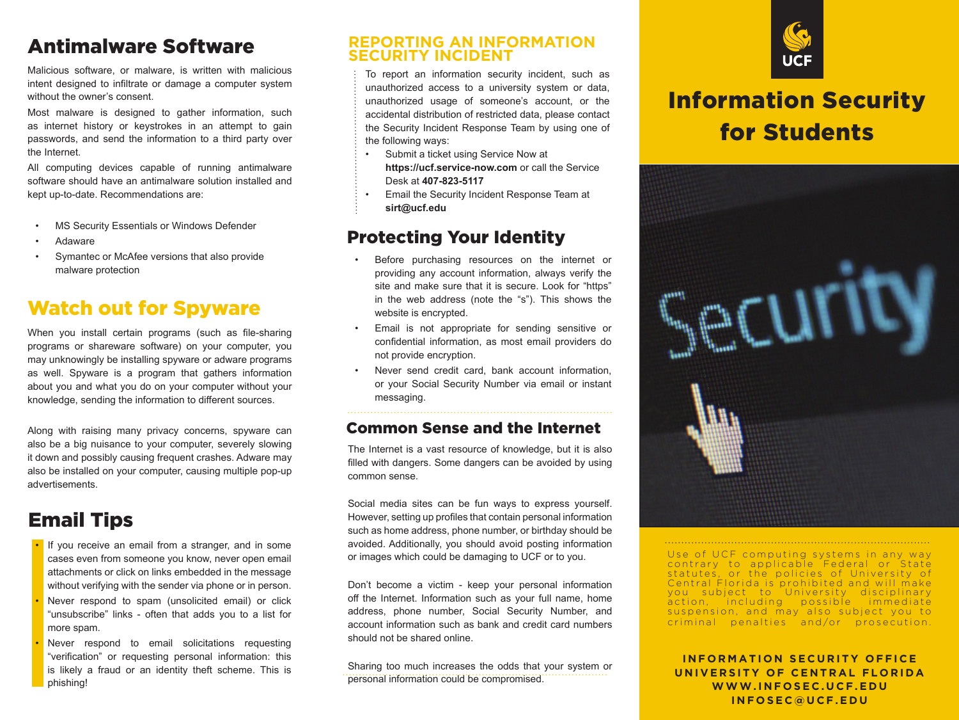### Antimalware Software

Malicious software, or malware, is written with malicious intent designed to infiltrate or damage a computer system without the owner's consent.

Most malware is designed to gather information, such as internet history or keystrokes in an attempt to gain passwords, and send the information to a third party over the Internet.

All computing devices capable of running antimalware software should have an antimalware solution installed and kept up-to-date. Recommendations are:

- MS Security Essentials or Windows Defender
- Adaware
- Symantec or McAfee versions that also provide malware protection

### Watch out for Spyware

When you install certain programs (such as file-sharing programs or shareware software) on your computer, you may unknowingly be installing spyware or adware programs as well. Spyware is a program that gathers information about you and what you do on your computer without your knowledge, sending the information to different sources.

Along with raising many privacy concerns, spyware can also be a big nuisance to your computer, severely slowing it down and possibly causing frequent crashes. Adware may also be installed on your computer, causing multiple pop-up advertisements.

### Email Tips

- If you receive an email from a stranger, and in some cases even from someone you know, never open email attachments or click on links embedded in the message without verifying with the sender via phone or in person.
- Never respond to spam (unsolicited email) or click "unsubscribe" links - often that adds you to a list for more spam.
- Never respond to email solicitations requesting "verification" or requesting personal information: this is likely a fraud or an identity theft scheme. This is phishing!

#### **REPORTING AN INFORMATION SECURITY INCIDENT**

To report an information security incident, such as unauthorized access to a university system or data, unauthorized usage of someone's account, or the accidental distribution of restricted data, please contact the Security Incident Response Team by using one of the following ways:

- Submit a ticket using Service Now at **https://ucf.service-now.com** or call the Service Desk at **407-823-5117**
- Email the Security Incident Response Team at **sirt@ucf.edu**

#### Protecting Your Identity

- Before purchasing resources on the internet or providing any account information, always verify the site and make sure that it is secure. Look for "https" in the web address (note the "s"). This shows the website is encrypted.
- Email is not appropriate for sending sensitive or confidential information, as most email providers do not provide encryption.
- Never send credit card, bank account information, or your Social Security Number via email or instant messaging.

#### Common Sense and the Internet

The Internet is a vast resource of knowledge, but it is also filled with dangers. Some dangers can be avoided by using common sense.

Social media sites can be fun ways to express yourself. However, setting up profiles that contain personal information such as home address, phone number, or birthday should be avoided. Additionally, you should avoid posting information or images which could be damaging to UCF or to you.

Don't become a victim - keep your personal information off the Internet. Information such as your full name, home address, phone number, Social Security Number, and account information such as bank and credit card numbers should not be shared online.

Sharing too much increases the odds that your system or personal information could be compromised.



# Information Security for Students



Use of UCF computing systems in any way contrary to applicable Federal or State statutes, or the policies of University of Central Florida is prohibited and will make you subiect to University disciplinary action, including possible immediate suspension, and may also subject you to criminal penalties and/or prosecution.

**INFORMATION SECURITY OFFICE UNIVERSITY OF CENTRAL FLORIDA W W W . I N F O S E C . U C F . E D U I N F O S E C @ U C F . E D U**